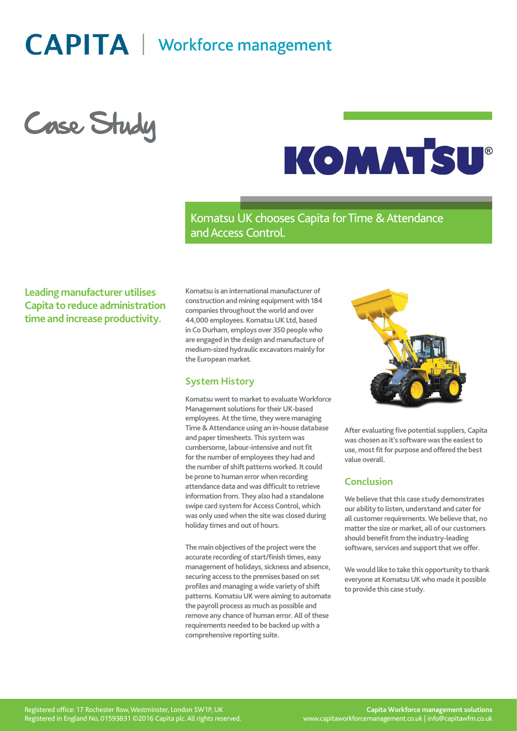# **CAPITA** | Workforce management

Case Study



Komatsu UK chooses Capita for Time & Attendance and Access Control.

**Leading manufacturer utilises Capita to reduce administration time and increase productivity.**

**Komatsu is an international manufacturer of construction and mining equipment with 184 companies throughout the world and over 44,000 employees. Komatsu UK Ltd, based in Co Durham, employs over 350 people who are engaged in the design and manufacture of medium-sized hydraulic excavators mainly for the European market.**

#### **System History**

**Komatsu went to market to evaluate Workforce Management solutions for their UK-based employees. At the time, they were managing Time & Attendance using an in-house database and paper timesheets. This system was cumbersome, labour-intensive and not fit for the number of employees they had and the number of shift patterns worked. It could be prone to human error when recording attendance data and was difficult to retrieve information from. They also had a standalone swipe card system for Access Control, which was only used when the site was closed during holiday times and out of hours.**

**The main objectives of the project were the accurate recording of start/finish times, easy management of holidays, sickness and absence, securing access to the premises based on set profiles and managing a wide variety of shift patterns. Komatsu UK were aiming to automate the payroll process as much as possible and remove any chance of human error. All of these requirements needed to be backed up with a comprehensive reporting suite.**



**After evaluating five potential suppliers, Capita was chosen as it's software was the easiest to use, most fit for purpose and offered the best value overall.**

# **Conclusion**

**We believe that this case study demonstrates our ability to listen, understand and cater for all customer requirements. We believe that, no matter the size or market, all of our customers should benefit from the industry-leading software, services and support that we offer.**

**We would like to take this opportunity to thank everyone at Komatsu UK who made it possible to provide this case study.**